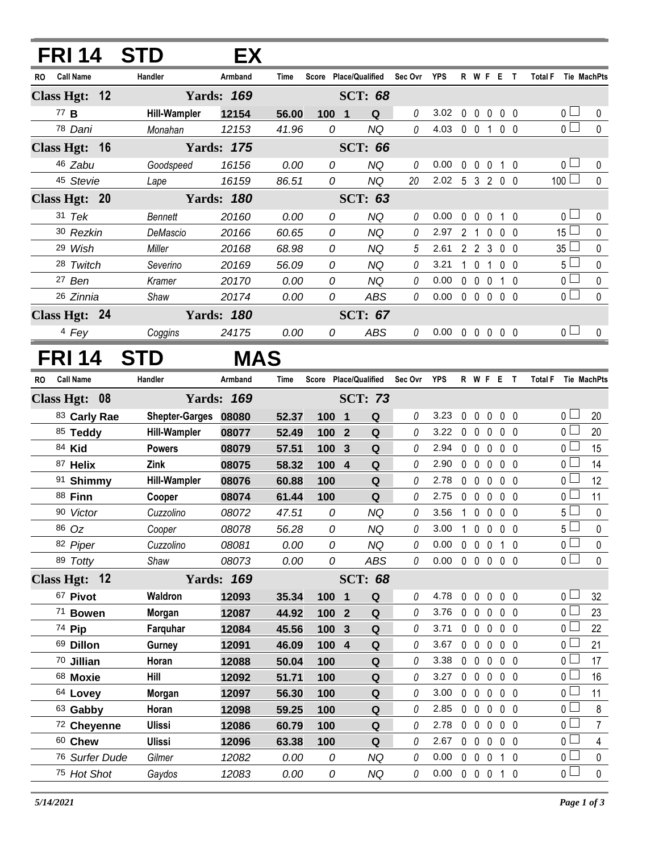## **Place/Qualified** Sec Ovr YPS R W F E T Total F Tie MachPts **FRI 14 STD RO Call Name Handler Armband Time Score Sec Ovr YPS W F E T Total F Tie EX Class Hgt: 12 Yards:** *169* **SCT:** *68* **B Hill-Wampler 12154 56.00 100 1 Q** *0* 3.02 0 0 0 0 0 0 0 *Dani Monahan 12153 41.96 0 NQ 0* 4.03 0 0 1 0 0 0 0 **Class Hgt: 16 Yards:** *175* **SCT:** *66 Zabu Goodspeed 16156 0.00 0 NQ 0* 0.00 0 0 0 1 0 0 0 *Stevie Lape 16159 86.51 0 NQ 20* 2.02 5 3 2 0 0 100 0 **Class Hgt: 20 Yards:** *180* **SCT:** *63 Tek Bennett 20160 0.00 0 NQ 0* 0.00 0 0 0 1 0 0 0 *Rezkin DeMascio 20166 60.65 0 NQ 0* 2.97 2 1 0 0 0 15 0 *Wish Miller 20168 68.98 0 NQ 5* 2.61 2 2 3 0 0 35 0 *Twitch Severino 20169 56.09 0 NQ 0* 3.21 1 0 1 0 0 5 0 *Ben Kramer 20170 0.00 0 NQ 0* 0.00 0 0 0 1 0 0 0 *Zinnia Shaw 20174 0.00 0 ABS 0* 0.00 0 0 0 0 0 0 0 **Class Hgt: 24 Yards:** *180* **SCT:** *67 Fey Coggins 24175 0.00 0 ABS 0* 0.00 0 0 0 0 0 0 0 **R FRI 14 STD RO Call Name Handler Armband Time Score Sec Ovr YPS W F E T Total F Tie Place/Qualified MachPts MAS**

|                       | 169                       | <b>SCT: 73</b>   |                |                         |             |   |      |              |              |                                                                                                                                                                                                                                                                                                     |                                  |
|-----------------------|---------------------------|------------------|----------------|-------------------------|-------------|---|------|--------------|--------------|-----------------------------------------------------------------------------------------------------------------------------------------------------------------------------------------------------------------------------------------------------------------------------------------------------|----------------------------------|
| <b>Shepter-Garges</b> | 08080                     | 52.37            | 100            | $\blacklozenge$         | Q           | 0 | 3.23 | $\mathbf 0$  | $\mathbf 0$  | $0\quad 0$                                                                                                                                                                                                                                                                                          | 0 <sup>L</sup><br>20             |
| <b>Hill-Wampler</b>   | 08077                     | 52.49            | 100            | $\overline{2}$          | Q           | 0 | 3.22 | $\Omega$     | $\Omega$     | 0 <sub>0</sub>                                                                                                                                                                                                                                                                                      | 20<br>0 L                        |
| <b>Powers</b>         | 08079                     | 57.51            | 100            | 3                       | Q           | 0 | 2.94 | $\mathbf 0$  | $\mathbf{0}$ | 0 <sub>0</sub>                                                                                                                                                                                                                                                                                      | 0<br>15                          |
| Zink                  | 08075                     | 58.32            | 100            | $\overline{4}$          | Q           | 0 | 2.90 | $\mathbf{0}$ | $\mathbf{0}$ | 0 <sub>0</sub>                                                                                                                                                                                                                                                                                      | 14<br>$\mathbf 0$                |
| <b>Hill-Wampler</b>   | 08076                     | 60.88            | 100            |                         | Q           | 0 | 2.78 | 0            | $\Omega$     | 0 <sub>0</sub>                                                                                                                                                                                                                                                                                      | 0<br>12                          |
| Cooper                | 08074                     | 61.44            | 100            |                         | Q           | 0 | 2.75 | $\Omega$     | $\Omega$     | 0 <sub>0</sub>                                                                                                                                                                                                                                                                                      | 11<br>0 l                        |
| Cuzzolino             | 08072                     | 47.51            | 0              |                         | <b>NQ</b>   | 0 | 3.56 |              | $\mathbf{0}$ | 0 <sub>0</sub>                                                                                                                                                                                                                                                                                      | 5 l<br>$\mathbf{0}$              |
| Cooper                | 08078                     | 56.28            | 0              |                         | <b>NQ</b>   | 0 | 3.00 |              | $\mathbf{0}$ | $0\quad 0$                                                                                                                                                                                                                                                                                          | 5 <sub>1</sub><br>0              |
| Cuzzolino             | 08081                     | 0.00             | 0              |                         | <b>NQ</b>   | 0 | 0.00 | $\mathbf{0}$ | $\mathbf{0}$ | $\mathbf{1}$<br>$\mathbf{0}$                                                                                                                                                                                                                                                                        | 0 L<br>0                         |
| Shaw                  | 08073                     | 0.00             | 0              |                         | <b>ABS</b>  | 0 | 0.00 | $\mathbf 0$  |              |                                                                                                                                                                                                                                                                                                     | $\mathbf 0$<br>0 <sub>0</sub>    |
|                       | 169                       |                  | <b>SCT: 68</b> |                         |             |   |      |              |              |                                                                                                                                                                                                                                                                                                     |                                  |
| Waldron               | 12093                     | 35.34            | 100            | $\overline{\mathbf{1}}$ | Q           | 0 | 4.78 | $\mathbf 0$  | $\mathbf 0$  | 0 <sub>0</sub>                                                                                                                                                                                                                                                                                      | 0 <sub>0</sub><br>32             |
| Morgan                | 12087                     | 44.92            | 100            | $\overline{2}$          | Q           | 0 | 3.76 | $\mathbf 0$  | $\Omega$     | 0 <sub>0</sub>                                                                                                                                                                                                                                                                                      | 23<br>0 <sup>L</sup>             |
| Farquhar              | 12084                     | 45.56            | 100            | 3                       | Q           | 0 | 3.71 | $\mathbf 0$  | $\mathbf 0$  | 0 <sub>0</sub>                                                                                                                                                                                                                                                                                      | 0 <sup>1</sup><br>22             |
| Gurney                | 12091                     | 46.09            | 100            | $\overline{4}$          | Q           | 0 | 3.67 | $\mathbf 0$  | $\mathbf 0$  | 0 <sub>0</sub>                                                                                                                                                                                                                                                                                      | 21<br>0 <sub>0</sub>             |
| Horan                 | 12088                     | 50.04            | 100            |                         | $\mathbf Q$ | 0 | 3.38 | $\mathbf 0$  | $\mathbf 0$  | 0 <sub>0</sub>                                                                                                                                                                                                                                                                                      | 0 <sub>0</sub><br>17             |
| Hill                  | 12092                     | 51.71            | 100            |                         | Q           | 0 | 3.27 | $\Omega$     | $\mathbf{0}$ | 0 <sub>0</sub>                                                                                                                                                                                                                                                                                      | 0 <sub>0</sub><br>16             |
| Morgan                | 12097                     | 56.30            | 100            |                         | $\mathbf Q$ | 0 | 3.00 | $\mathbf 0$  | $\mathbf{0}$ | 0 <sub>0</sub>                                                                                                                                                                                                                                                                                      | 0 <sup>1</sup><br>11             |
| Horan                 | 12098                     | 59.25            | 100            |                         | $\mathbf Q$ | 0 | 2.85 | $\Omega$     | $\mathbf 0$  | 0 <sub>0</sub>                                                                                                                                                                                                                                                                                      | 0 <sup>1</sup><br>8              |
| <b>Ulissi</b>         | 12086                     | 60.79            | 100            |                         | $\mathbf Q$ | 0 | 2.78 | $\mathbf 0$  | $\mathbf 0$  | 0 <sub>0</sub>                                                                                                                                                                                                                                                                                      | 0 <sub>1</sub><br>$\overline{7}$ |
| <b>Ulissi</b>         | 12096                     | 63.38            | 100            |                         | Q           | 0 | 2.67 | $\Omega$     | $\mathbf{0}$ | 0 <sub>0</sub>                                                                                                                                                                                                                                                                                      | 0 <sub>1</sub><br>4              |
| Gilmer                | 12082                     | 0.00             | 0              |                         | <b>NQ</b>   | 0 | 0.00 | $\mathbf{0}$ | $\Omega$     | $\Omega$<br>1                                                                                                                                                                                                                                                                                       | 0 <sup>1</sup><br>0              |
| Gaydos                | 12083                     | 0.00             | 0              |                         | NQ          | 0 | 0.00 | $\mathbf{0}$ | 0            | 0<br>$\mathbf 1$                                                                                                                                                                                                                                                                                    | $\mathbf 0$<br>0 <sub>0</sub>    |
|                       | <sup>76</sup> Surfer Dude | Yards:<br>Yards: |                |                         |             |   |      |              |              | $\mathbf 0$<br>$\Omega$<br>$\mathbf{0}$<br>$\mathbf{0}$<br>$\Omega$<br>$\Omega$<br>$\mathbf{0}$<br>$\mathbf{0}$<br>$\mathbf{0}$<br>$\mathbf 0$<br>$\mathbf 0$<br>$\mathbf 0$<br>$\mathbf 0$<br>$\mathbf 0$<br>$\Omega$<br>$\Omega$<br>$\Omega$<br>$\Omega$<br>$\Omega$<br>$\Omega$<br>$\Omega$<br>0 | $0\quad 0\quad 0$                |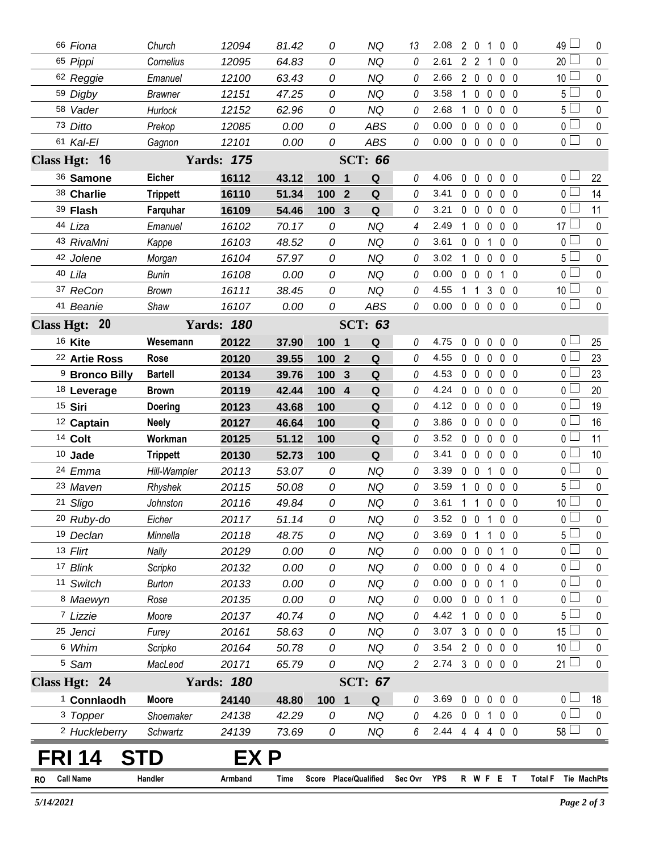| RO | <b>Call Name</b>                                    | Handler                        | Armband           | Time           |              | Score Place/Qualified            | Sec Ovr YPS |                |                             | R W F E T                   |                             |                                  | <b>Total F</b><br>Tie MachPts    |                 |
|----|-----------------------------------------------------|--------------------------------|-------------------|----------------|--------------|----------------------------------|-------------|----------------|-----------------------------|-----------------------------|-----------------------------|----------------------------------|----------------------------------|-----------------|
|    | FRI 14                                              | STD                            | EX P              |                |              |                                  |             |                |                             |                             |                             |                                  |                                  |                 |
|    | <sup>2</sup> Huckleberry                            | Schwartz                       | 24139             | 73.69          | 0            | <b>NQ</b>                        | 6           | 2.44 4 4 4 0 0 |                             |                             |                             |                                  | 58 L                             | 0               |
|    | <sup>3</sup> Topper                                 | Shoemaker                      | 24138             | 42.29          | 0            | <b>NQ</b>                        | 0           | 4.26           |                             | 0 0 1 0 0                   |                             |                                  | $\overline{0}$ $\Box$            | $\pmb{0}$       |
|    | <sup>1</sup> Connlaodh                              | <b>Moore</b>                   | 24140             | 48.80          | 100 1        | Q                                | 0           | 3.69           |                             | $0\quad 0$                  | $0\quad 0\quad 0$           |                                  | 0 <sub>0</sub>                   | 18              |
|    | Class Hgt: 24                                       |                                | <b>Yards: 180</b> |                |              |                                  |             |                |                             |                             |                             |                                  |                                  |                 |
|    | <sup>5</sup> Sam                                    | MacLeod                        | 20171             | 65.79          | 0            | <b>NQ</b><br><b>SCT: 67</b>      | 2           | 2.74 3 0 0 0 0 |                             |                             |                             |                                  | $21 \Box$                        | 0               |
|    | 6 Whim                                              | Scripko                        | 20164             | 50.78          | 0            | <b>NQ</b>                        | 0           | 3.54           |                             | 2 0 0 0 0                   |                             |                                  | 10 <sup>1</sup>                  | 0               |
|    | 25 Jenci                                            | Furey                          | 20161             | 58.63          | 0            | <b>NQ</b>                        | 0           | 3.07           |                             | 3 0 0 0 0                   |                             |                                  | $15\perp$                        | 0               |
|    | 7 Lizzie                                            | Moore                          | 20137             | 40.74          | 0            | <b>NQ</b>                        | 0           | 4.42           | 1                           | 0                           | $\mathbf 0$                 | $0\quad 0$                       | $5+$                             | 0               |
|    | 8 Maewyn                                            | Rose                           | 20135             | 0.00           | 0            | <b>NQ</b>                        | 0           | 0.00           |                             | $0\quad 0$                  | $\mathbf 0$                 | 10                               | $\overline{0}$                   | 0               |
|    | 11 Switch                                           | <b>Burton</b>                  | 20133             | 0.00           | 0            | <b>NQ</b>                        | 0           | 0.00           |                             | $0\quad 0$                  | $\mathbf 0$                 | 1 0                              | $\overline{0}$                   | 0               |
|    | 17 Blink                                            | Scripko                        | 20132             | 0.00           | 0            | <b>NQ</b>                        | 0           | 0.00           |                             | $0\quad 0$                  | 040                         |                                  | $\overline{0}$                   | 0               |
|    | 13 Flirt                                            | Nally                          | 20129             | 0.00           | 0            | <b>NQ</b>                        | 0           | 0.00           |                             | $0\quad 0$                  | $\mathbf 0$                 | $1\quad0$                        | 0 <sup>2</sup>                   | $\mathbf 0$     |
|    | 19 Declan                                           | Minnella                       | 20118             | 48.75          | 0            | <b>NQ</b>                        | 0           | 3.69           |                             | 0 <sub>1</sub>              |                             | $100$                            | $5\Box$                          | 0               |
|    | 20 Ruby-do                                          | Eicher                         | 20117             | 51.14          | 0            | <b>NQ</b>                        | 0           | 3.52 0 0 1 0 0 |                             |                             |                             |                                  | 0 <sup>2</sup>                   | $\mathbf 0$     |
|    | 21 Sligo                                            | Johnston                       | 20116             | 49.84          | 0            | <b>NQ</b>                        | 0           | 3.61           | $\mathbf{1}$                | $\overline{1}$              | $\mathbf 0$                 | 0 <sub>0</sub>                   | $10$ $\Box$                      | $\pmb{0}$       |
|    | 23 Maven                                            | Rhyshek                        | 20115             | 50.08          | 0            | <b>NQ</b>                        | 0           | 3.59           | 1.                          | $\mathbf 0$                 | $\mathbf 0$                 | $0\quad 0$                       | 5 <sup>0</sup>                   | $\mathbf 0$     |
|    | 24 Emma                                             | Hill-Wampler                   | 20113             | 53.07          | 0            | <b>NQ</b>                        | 0           | 3.39           |                             | 0 <sub>0</sub>              | 1                           | 0 <sub>0</sub>                   | $\overline{0}$                   | $\pmb{0}$       |
|    | $10$ Jade                                           | <b>Trippett</b>                | 20130             | 52.73          | 100          | Q                                | 0           | 3.41           |                             | $0\quad 0$                  | $\mathbf 0$                 | 0 <sub>0</sub>                   | $\overline{0}$                   | 10 <sup>°</sup> |
|    | 14 Colt                                             | Workman                        | 20125             | 51.12          | 100          | $\mathbf Q$                      | 0           | 3.52           |                             | $0\quad 0$                  | $\mathbf 0$                 | 0 <sub>0</sub>                   | $\overline{0}$                   | 11              |
|    | <sup>12</sup> Captain                               | <b>Neely</b>                   | 20127             | 46.64          | 100          | Q                                | 0           | 3.86           | $\mathbf 0$                 | $\overline{0}$              | $\mathbf 0$                 | 0 <sub>0</sub>                   | $\overline{0}$                   | 16              |
|    | <sup>15</sup> Siri                                  | <b>Doering</b>                 | 20123             | 43.68          | 100          | Q                                | 0           | 4.12           |                             | 0 <sub>0</sub>              | $\mathbf 0$                 | 0 <sub>0</sub>                   | $\overline{0}$                   | 19              |
|    | <sup>9</sup> Bronco Billy<br><sup>18</sup> Leverage | <b>Bartell</b><br><b>Brown</b> | 20134<br>20119    | 39.76<br>42.44 | 100<br>100 4 | $\mathbf Q$<br>$\mathbf{3}$<br>Q | 0<br>0      | 4.53<br>4.24   | $\mathbf{0}$<br>$\mathbf 0$ | $\mathbf 0$<br>$\mathbf 0$  | $\mathbf 0$<br>$\mathbf 0$  | 0 <sub>0</sub><br>0 <sub>0</sub> | 0 <sub>0</sub>                   | 20              |
|    | <sup>22</sup> Artie Ross                            | Rose                           | 20120             | 39.55          | 100          | Q<br>$\overline{2}$              | 0           | 4.55           | $\mathbf{0}$                | $\mathbf 0$                 | $\mathbf 0$                 | $0\quad 0$                       | 0 <sub>0</sub><br>$\overline{0}$ | 23<br>23        |
|    | 16 Kite                                             | Wesemann                       | 20122             | 37.90          | 100          | Q<br>$\blacksquare$              | 0           | 4.75           | $\mathbf{0}$                | $\mathbf{0}$                | $\mathbf{0}$                | 0 <sub>0</sub>                   | $\overline{0}$                   | 25              |
|    | Class Hgt: 20                                       |                                | <b>Yards: 180</b> |                |              | <b>SCT: 63</b>                   |             |                |                             |                             |                             |                                  |                                  |                 |
|    | 41 Beanie                                           | Shaw                           | 16107             | 0.00           | 0            | <b>ABS</b>                       | 0           | 0.00           |                             | $0\quad 0$                  | $\mathbf 0$                 | $0\quad 0$                       | $\overline{0}$                   | $\mathbf 0$     |
|    | 37 ReCon                                            | <b>Brown</b>                   | 16111             | 38.45          | 0            | <b>NQ</b>                        | 0           | 4.55           | 1                           | $\mathbf{1}$                | 3                           | $0\quad 0$                       | $10$ $\Box$                      | $\pmb{0}$       |
|    | 40 Lila                                             | <b>Bunin</b>                   | 16108             | 0.00           | 0            | <b>NQ</b>                        | 0           | 0.00           | $\mathbf 0$                 | $\mathbf 0$                 | $\mathbf 0$                 | $1\quad0$                        | $\overline{0}$                   | $\mathbf 0$     |
|    | 42 Jolene                                           | Morgan                         | 16104             | 57.97          | 0            | <b>NQ</b>                        | 0           | 3.02           | 1                           | 0                           | 0                           | $0\quad 0$                       | 5 <sup>0</sup>                   | $\pmb{0}$       |
|    | 43 RivaMni                                          | Kappe                          | 16103             | 48.52          | 0            | <b>NQ</b>                        | 0           | 3.61           | $\mathbf 0$                 | $\mathbf 0$                 | $\overline{1}$              | 0 <sub>0</sub>                   | $\overline{0}$                   | $\mathbf 0$     |
|    | 44 Liza                                             | Emanuel                        | 16102             | 70.17          | 0            | <b>NQ</b>                        | 4           | 2.49           | $\mathbf 1$                 | $\mathbf 0$                 | $\mathbf 0$                 | 0 <sub>0</sub>                   | $17\square$                      | $\mathbf 0$     |
|    | 39 Flash                                            | Farquhar                       | 16109             | 54.46          | 100          | Q<br>$\overline{\mathbf{3}}$     | 0           | 3.21           | $\mathbf{0}$                | $\mathbf 0$                 | $\mathbf 0$                 | $0\quad 0$                       | 0 <sup>1</sup>                   | 11              |
|    | 38 Charlie                                          | <b>Trippett</b>                | 16110             | 51.34          | 100 2        | ${\bf Q}$                        | 0           | 3.41           | $\mathbf 0$                 | $\mathbf 0$                 | $\mathbf 0$                 | 0 <sub>0</sub>                   | $\overline{0}$                   | 14              |
|    | 36 Samone                                           | <b>Eicher</b>                  | 16112             | 43.12          | 100 1        | Q                                | 0           | 4.06           | $\mathbf 0$                 | $\mathbf 0$                 | $\mathbf 0$                 | $0\quad 0$                       | 0l                               | 22              |
|    | Class Hgt: 16                                       |                                | <b>Yards: 175</b> |                |              | <b>SCT: 66</b>                   |             |                |                             |                             |                             |                                  |                                  |                 |
|    | 61 Kal-El                                           | Gagnon                         | 12101             | 0.00           | 0            | <b>ABS</b>                       | 0           | 0.00           |                             | 00000                       |                             |                                  | $\overline{0}$                   | $\mathbf 0$     |
|    | 73 Ditto                                            | Prekop                         | 12085             | 0.00           | 0            | <b>ABS</b>                       | 0           | 0.00           | $\mathbf{0}$                | $\mathbf 0$                 | $\mathbf 0$                 | $0\quad 0$                       | $\overline{0}$                   | $\mathbf 0$     |
|    | 58 Vader                                            | Hurlock                        | 12152             | 62.96          | 0            | NQ                               | 0           | 2.68           | 1                           | $\mathbf 0$                 | $\mathbf 0$                 | 0 <sub>0</sub>                   | $5\Box$                          | $\mathbf 0$     |
|    | 59 Digby                                            | <b>Brawner</b>                 | 12151             | 47.25          | 0            | <b>NQ</b>                        | 0           | 3.58           | $\mathbf{1}$                | $\mathbf 0$                 | $\mathbf 0$                 | $0\quad 0$                       | 5 <sub>1</sub>                   | $\mathbf 0$     |
|    | 62 Reggie                                           | Cornelius<br>Emanuel           | 12100             | 63.43          | 0            | NQ                               | 0           | 2.66           |                             | 200                         |                             | $0\quad 0$<br>00                 | 10 <sup>1</sup>                  | $\mathbf 0$     |
|    | 66 Fiona<br>65 Pippi                                | Church                         | 12094<br>12095    | 81.42<br>64.83 | 0<br>0       | NQ<br><b>NQ</b>                  | 13<br>0     | 2.08<br>2.61   |                             | $2\quad0$<br>2 <sub>2</sub> | $\mathbf{1}$<br>$\mathbf 1$ | $0\quad 0$                       | 20                               | 0<br>$\Omega$   |
|    |                                                     |                                |                   |                |              |                                  |             |                |                             |                             |                             |                                  | 49 $\Box$                        |                 |

Ξ